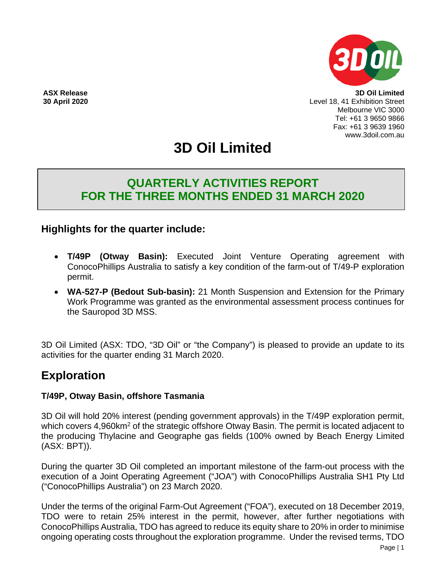

**ASX Release 3D Oil Limited 30 April 2020** Level 18, 41 Exhibition Street Melbourne VIC 3000 Tel: +61 3 9650 9866 Fax: +61 3 9639 1960 www.3doil.com.au

# **3D Oil Limited**

## **QUARTERLY ACTIVITIES REPORT FOR THE THREE MONTHS ENDED 31 MARCH 2020**

## **Highlights for the quarter include:**

- **T/49P (Otway Basin):** Executed Joint Venture Operating agreement with ConocoPhillips Australia to satisfy a key condition of the farm-out of T/49-P exploration permit.
- **WA-527-P (Bedout Sub-basin):** 21 Month Suspension and Extension for the Primary Work Programme was granted as the environmental assessment process continues for the Sauropod 3D MSS.

3D Oil Limited (ASX: TDO, "3D Oil" or "the Company") is pleased to provide an update to its activities for the quarter ending 31 March 2020.

## **Exploration**

### **T/49P, Otway Basin, offshore Tasmania**

3D Oil will hold 20% interest (pending government approvals) in the T/49P exploration permit, which covers 4,960km<sup>2</sup> of the strategic offshore Otway Basin. The permit is located adjacent to the producing Thylacine and Geographe gas fields (100% owned by Beach Energy Limited (ASX: BPT)).

During the quarter 3D Oil completed an important milestone of the farm-out process with the execution of a Joint Operating Agreement ("JOA") with ConocoPhillips Australia SH1 Pty Ltd ("ConocoPhillips Australia") on 23 March 2020.

Under the terms of the original Farm-Out Agreement ("FOA"), executed on 18 December 2019, TDO were to retain 25% interest in the permit, however, after further negotiations with ConocoPhillips Australia, TDO has agreed to reduce its equity share to 20% in order to minimise ongoing operating costs throughout the exploration programme. Under the revised terms, TDO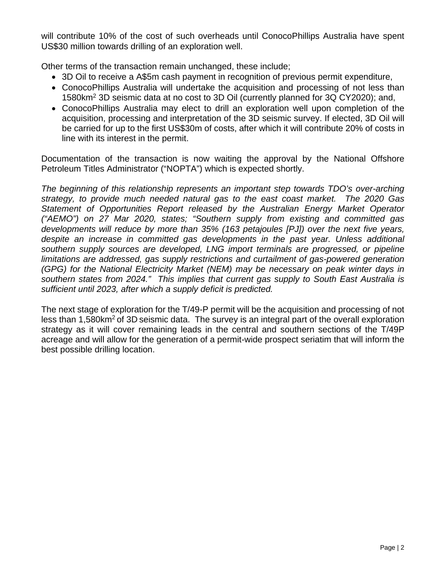will contribute 10% of the cost of such overheads until ConocoPhillips Australia have spent US\$30 million towards drilling of an exploration well.

Other terms of the transaction remain unchanged, these include;

- 3D Oil to receive a A\$5m cash payment in recognition of previous permit expenditure,
- ConocoPhillips Australia will undertake the acquisition and processing of not less than 1580km2 3D seismic data at no cost to 3D Oil (currently planned for 3Q CY2020); and,
- ConocoPhillips Australia may elect to drill an exploration well upon completion of the acquisition, processing and interpretation of the 3D seismic survey. If elected, 3D Oil will be carried for up to the first US\$30m of costs, after which it will contribute 20% of costs in line with its interest in the permit.

Documentation of the transaction is now waiting the approval by the National Offshore Petroleum Titles Administrator ("NOPTA") which is expected shortly.

*The beginning of this relationship represents an important step towards TDO's over-arching strategy, to provide much needed natural gas to the east coast market. The 2020 Gas Statement of Opportunities Report released by the Australian Energy Market Operator ("AEMO") on 27 Mar 2020, states; "Southern supply from existing and committed gas developments will reduce by more than 35% (163 petajoules [PJ]) over the next five years,*  despite an increase in committed gas developments in the past year. Unless additional *southern supply sources are developed, LNG import terminals are progressed, or pipeline limitations are addressed, gas supply restrictions and curtailment of gas-powered generation (GPG) for the National Electricity Market (NEM) may be necessary on peak winter days in southern states from 2024." This implies that current gas supply to South East Australia is sufficient until 2023, after which a supply deficit is predicted.* 

The next stage of exploration for the T/49-P permit will be the acquisition and processing of not less than 1,580km<sup>2</sup> of 3D seismic data. The survey is an integral part of the overall exploration strategy as it will cover remaining leads in the central and southern sections of the T/49P acreage and will allow for the generation of a permit-wide prospect seriatim that will inform the best possible drilling location.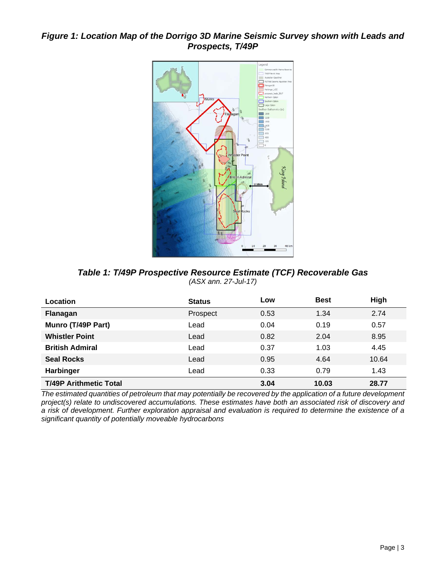#### *Figure 1: Location Map of the Dorrigo 3D Marine Seismic Survey shown with Leads and Prospects, T/49P*



*Table 1: T/49P Prospective Resource Estimate (TCF) Recoverable Gas (ASX ann. 27-Jul-17)*

| Location                      | <b>Status</b> | Low  | <b>Best</b> | High  |
|-------------------------------|---------------|------|-------------|-------|
| Flanagan                      | Prospect      | 0.53 | 1.34        | 2.74  |
| Munro (T/49P Part)            | Lead          | 0.04 | 0.19        | 0.57  |
| <b>Whistler Point</b>         | Lead          | 0.82 | 2.04        | 8.95  |
| <b>British Admiral</b>        | Lead          | 0.37 | 1.03        | 4.45  |
| <b>Seal Rocks</b>             | Lead          | 0.95 | 4.64        | 10.64 |
| <b>Harbinger</b>              | Lead          | 0.33 | 0.79        | 1.43  |
| <b>T/49P Arithmetic Total</b> |               | 3.04 | 10.03       | 28.77 |

*The estimated quantities of petroleum that may potentially be recovered by the application of a future development project(s) relate to undiscovered accumulations. These estimates have both an associated risk of discovery and a risk of development. Further exploration appraisal and evaluation is required to determine the existence of a significant quantity of potentially moveable hydrocarbons*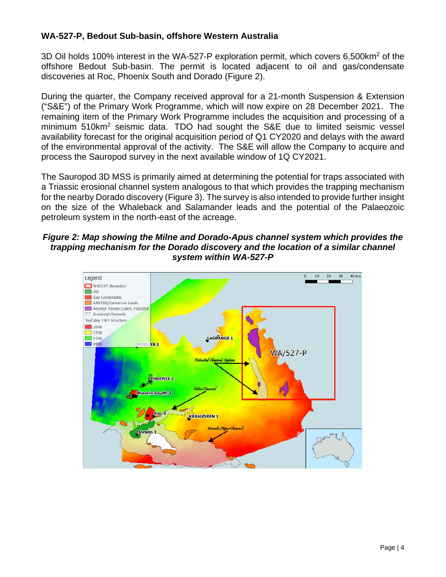#### **WA-527-P, Bedout Sub-basin, offshore Western Australia**

3D Oil holds 100% interest in the WA-527-P exploration permit, which covers 6,500km2 of the offshore Bedout Sub-basin. The permit is located adjacent to oil and gas/condensate discoveries at Roc, Phoenix South and Dorado (Figure 2).

During the quarter, the Company received approval for a 21-month Suspension & Extension ("S&E") of the Primary Work Programme, which will now expire on 28 December 2021. The remaining item of the Primary Work Programme includes the acquisition and processing of a minimum 510km<sup>2</sup> seismic data. TDO had sought the S&E due to limited seismic vessel availability forecast for the original acquisition period of Q1 CY2020 and delays with the award of the environmental approval of the activity. The S&E will allow the Company to acquire and process the Sauropod survey in the next available window of 1Q CY2021.

The Sauropod 3D MSS is primarily aimed at determining the potential for traps associated with a Triassic erosional channel system analogous to that which provides the trapping mechanism for the nearby Dorado discovery (Figure 3). The survey is also intended to provide further insight on the size of the Whaleback and Salamander leads and the potential of the Palaeozoic petroleum system in the north-east of the acreage.

#### *Figure 2: Map showing the Milne and Dorado-Apus channel system which provides the trapping mechanism for the Dorado discovery and the location of a similar channel system within WA-527-P*

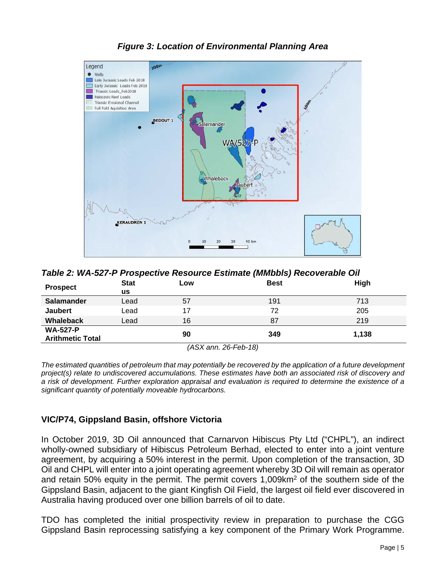

*Figure 3: Location of Environmental Planning Area* 

| Table 2: WA-527-P Prospective Resource Estimate (MMbbls) Recoverable Oil |  |
|--------------------------------------------------------------------------|--|
|--------------------------------------------------------------------------|--|

| <b>Prospect</b>                            | <b>Stat</b> | Low                 | <b>Best</b> | High  |
|--------------------------------------------|-------------|---------------------|-------------|-------|
|                                            | us          |                     |             |       |
| <b>Salamander</b>                          | Lead        | 57                  | 191         | 713   |
| <b>Jaubert</b>                             | Lead        | 17                  | 72          | 205   |
| <b>Whaleback</b>                           | Lead        | 16                  | 87          | 219   |
| <b>WA-527-P</b><br><b>Arithmetic Total</b> |             | 90                  | 349         | 1,138 |
|                                            |             | /ASX 2nn 26-Feh-18) |             |       |

*(ASX ann. 26-Feb-18)*

*The estimated quantities of petroleum that may potentially be recovered by the application of a future development project(s) relate to undiscovered accumulations. These estimates have both an associated risk of discovery and a risk of development. Further exploration appraisal and evaluation is required to determine the existence of a significant quantity of potentially moveable hydrocarbons.*

### **VIC/P74, Gippsland Basin, offshore Victoria**

In October 2019, 3D Oil announced that Carnarvon Hibiscus Pty Ltd ("CHPL"), an indirect wholly-owned subsidiary of Hibiscus Petroleum Berhad, elected to enter into a joint venture agreement, by acquiring a 50% interest in the permit. Upon completion of the transaction, 3D Oil and CHPL will enter into a joint operating agreement whereby 3D Oil will remain as operator and retain 50% equity in the permit. The permit covers  $1,009km^2$  of the southern side of the Gippsland Basin, adjacent to the giant Kingfish Oil Field, the largest oil field ever discovered in Australia having produced over one billion barrels of oil to date.

TDO has completed the initial prospectivity review in preparation to purchase the CGG Gippsland Basin reprocessing satisfying a key component of the Primary Work Programme.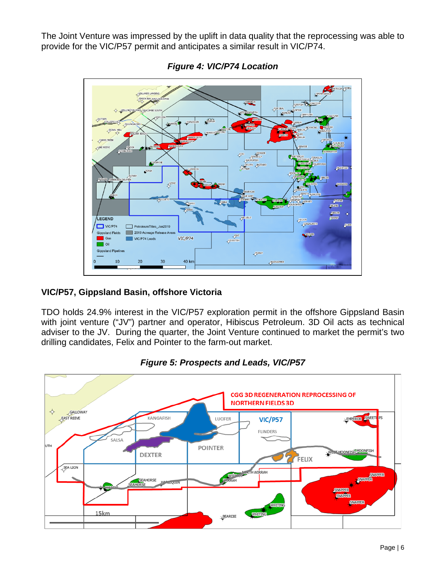The Joint Venture was impressed by the uplift in data quality that the reprocessing was able to provide for the VIC/P57 permit and anticipates a similar result in VIC/P74.



### *Figure 4: VIC/P74 Location*

### **VIC/P57, Gippsland Basin, offshore Victoria**

TDO holds 24.9% interest in the VIC/P57 exploration permit in the offshore Gippsland Basin with joint venture ("JV") partner and operator, Hibiscus Petroleum. 3D Oil acts as technical adviser to the JV. During the quarter, the Joint Venture continued to market the permit's two drilling candidates, Felix and Pointer to the farm-out market.



#### *Figure 5: Prospects and Leads, VIC/P57*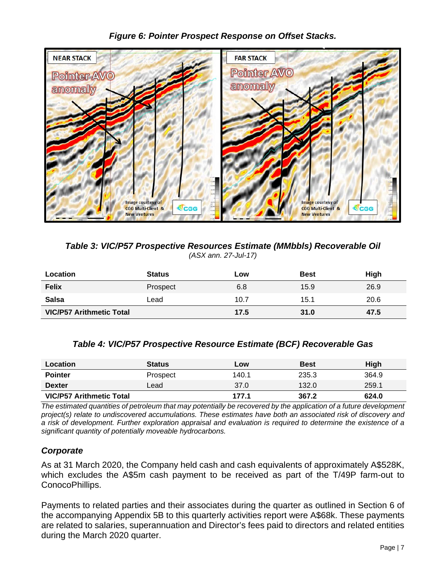

*Figure 6: Pointer Prospect Response on Offset Stacks.*

| Table 3: VIC/P57 Prospective Resources Estimate (MMbbls) Recoverable Oil |                      |  |  |
|--------------------------------------------------------------------------|----------------------|--|--|
|                                                                          | (ASX ann. 27-Jul-17) |  |  |

| Location                        | <b>Status</b>   | Low  | <b>Best</b> | <b>High</b> |
|---------------------------------|-----------------|------|-------------|-------------|
| <b>Felix</b>                    | <b>Prospect</b> | 6.8  | 15.9        | 26.9        |
| <b>Salsa</b>                    | Lead            | 10.7 | 15.1        | 20.6        |
| <b>VIC/P57 Arithmetic Total</b> |                 | 17.5 | 31.0        | 47.5        |

### *Table 4: VIC/P57 Prospective Resource Estimate (BCF) Recoverable Gas*

| Location                        | <b>Status</b> | LOW   | <b>Best</b> | <b>High</b> |
|---------------------------------|---------------|-------|-------------|-------------|
| <b>Pointer</b>                  | Prospect      | 140.1 | 235.3       | 364.9       |
| <b>Dexter</b>                   | Lead          | 37.0  | 132.0       | 259.1       |
| <b>VIC/P57 Arithmetic Total</b> |               | 177.1 | 367.2       | 624.0       |

*The estimated quantities of petroleum that may potentially be recovered by the application of a future development project(s) relate to undiscovered accumulations. These estimates have both an associated risk of discovery and a risk of development. Further exploration appraisal and evaluation is required to determine the existence of a significant quantity of potentially moveable hydrocarbons.*

### *Corporate*

As at 31 March 2020, the Company held cash and cash equivalents of approximately A\$528K, which excludes the A\$5m cash payment to be received as part of the T/49P farm-out to ConocoPhillips.

Payments to related parties and their associates during the quarter as outlined in Section 6 of the accompanying Appendix 5B to this quarterly activities report were A\$68k. These payments are related to salaries, superannuation and Director's fees paid to directors and related entities during the March 2020 quarter.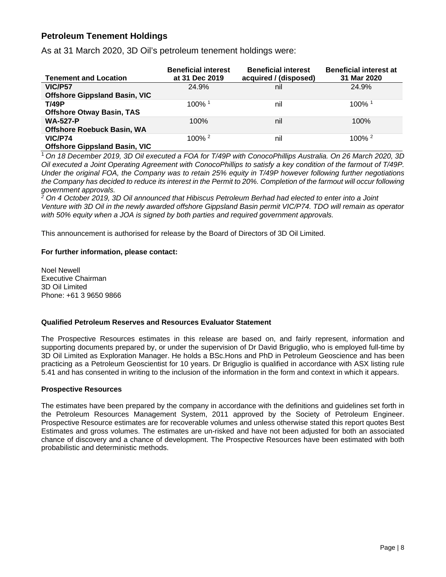#### **Petroleum Tenement Holdings**

As at 31 March 2020, 3D Oil's petroleum tenement holdings were:

|                                      | <b>Beneficial interest</b> | <b>Beneficial interest</b> | <b>Beneficial interest at</b> |
|--------------------------------------|----------------------------|----------------------------|-------------------------------|
| <b>Tenement and Location</b>         | at 31 Dec 2019             | acquired / (disposed)      | 31 Mar 2020                   |
| VIC/P57                              | 24.9%                      | nil                        | 24.9%                         |
| <b>Offshore Gippsland Basin, VIC</b> |                            |                            |                               |
| <b>T/49P</b>                         | $100\%$ <sup>1</sup>       | nil                        | $100\%$ <sup>1</sup>          |
| <b>Offshore Otway Basin, TAS</b>     |                            |                            |                               |
| <b>WA-527-P</b>                      | 100%                       | nil                        | 100%                          |
| <b>Offshore Roebuck Basin, WA</b>    |                            |                            |                               |
| VIC/P74                              | 100\% $^{2}$               | nil                        | 100\% $^{2}$                  |
| <b>Offshore Gippsland Basin, VIC</b> |                            |                            |                               |

<sup>1</sup>*On 18 December 2019, 3D Oil executed a FOA for T/49P with ConocoPhillips Australia. On 26 March 2020, 3D Oil executed a Joint Operating Agreement with ConocoPhillips to satisfy a key condition of the farmout of T/49P. Under the original FOA, the Company was to retain 25% equity in T/49P however following further negotiations the Company has decided to reduce its interest in the Permit to 20%. Completion of the farmout will occur following government approvals.*

*<sup>2</sup> On 4 October 2019, 3D Oil announced that Hibiscus Petroleum Berhad had elected to enter into a Joint Venture with 3D Oil in the newly awarded offshore Gippsland Basin permit VIC/P74. TDO will remain as operator with 50% equity when a JOA is signed by both parties and required government approvals.*

This announcement is authorised for release by the Board of Directors of 3D Oil Limited.

#### **For further information, please contact:**

Noel Newell Executive Chairman 3D Oil Limited Phone: +61 3 9650 9866

#### **Qualified Petroleum Reserves and Resources Evaluator Statement**

The Prospective Resources estimates in this release are based on, and fairly represent, information and supporting documents prepared by, or under the supervision of Dr David Briguglio, who is employed full-time by 3D Oil Limited as Exploration Manager. He holds a BSc.Hons and PhD in Petroleum Geoscience and has been practicing as a Petroleum Geoscientist for 10 years. Dr Briguglio is qualified in accordance with ASX listing rule 5.41 and has consented in writing to the inclusion of the information in the form and context in which it appears.

#### **Prospective Resources**

The estimates have been prepared by the company in accordance with the definitions and guidelines set forth in the Petroleum Resources Management System, 2011 approved by the Society of Petroleum Engineer. Prospective Resource estimates are for recoverable volumes and unless otherwise stated this report quotes Best Estimates and gross volumes. The estimates are un-risked and have not been adjusted for both an associated chance of discovery and a chance of development. The Prospective Resources have been estimated with both probabilistic and deterministic methods.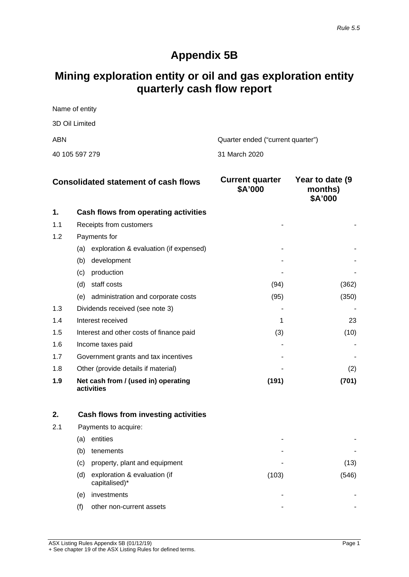## **Appendix 5B**

## **Mining exploration entity or oil and gas exploration entity quarterly cash flow report**

| Name of entity |                                   |
|----------------|-----------------------------------|
| 3D Oil Limited |                                   |
| ABN            | Quarter ended ("current quarter") |
| 40 105 597 279 | ⊟31 March 2020                    |

| <b>Consolidated statement of cash flows</b> |                                                   | <b>Current quarter</b><br>\$A'000 | Year to date (9)<br>months)<br>\$A'000 |
|---------------------------------------------|---------------------------------------------------|-----------------------------------|----------------------------------------|
| 1.                                          | Cash flows from operating activities              |                                   |                                        |
| 1.1                                         | Receipts from customers                           |                                   |                                        |
| 1.2                                         | Payments for                                      |                                   |                                        |
|                                             | exploration & evaluation (if expensed)<br>(a)     |                                   |                                        |
|                                             | (b)<br>development                                |                                   |                                        |
|                                             | (c)<br>production                                 |                                   |                                        |
|                                             | staff costs<br>(d)                                | (94)                              | (362)                                  |
|                                             | administration and corporate costs<br>(e)         | (95)                              | (350)                                  |
| 1.3                                         | Dividends received (see note 3)                   |                                   |                                        |
| 1.4                                         | Interest received                                 |                                   | 23                                     |
| 1.5                                         | Interest and other costs of finance paid          | (3)                               | (10)                                   |
| 1.6                                         | Income taxes paid                                 |                                   |                                        |
| 1.7                                         | Government grants and tax incentives              |                                   |                                        |
| 1.8                                         | Other (provide details if material)               |                                   | (2)                                    |
| 1.9                                         | Net cash from / (used in) operating<br>activities | (191)                             | (701)                                  |

| 2.  |     | Cash flows from investing activities          |       |      |
|-----|-----|-----------------------------------------------|-------|------|
| 2.1 |     | Payments to acquire:                          |       |      |
|     | (a) | entities                                      | -     |      |
|     | (b) | tenements                                     | -     |      |
|     | (C) | property, plant and equipment                 | -     | (13) |
|     | (d) | exploration & evaluation (if<br>capitalised)* | (103) |      |
|     | (e) | investments                                   | -     |      |
|     |     | other non-current assets                      | ۰     |      |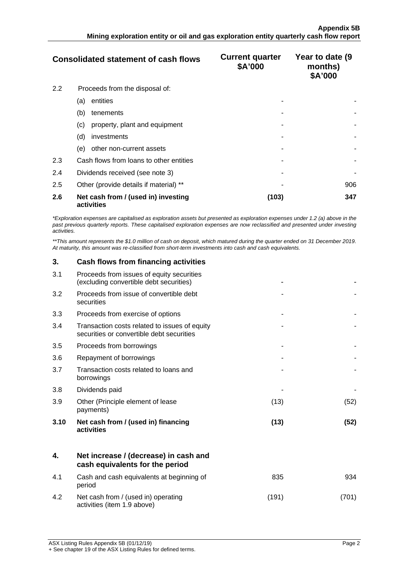| <b>Consolidated statement of cash flows</b> |                                                   | <b>Current quarter</b><br>\$A'000 | Year to date (9<br>months)<br>\$A'000 |
|---------------------------------------------|---------------------------------------------------|-----------------------------------|---------------------------------------|
| 2.2                                         | Proceeds from the disposal of:                    |                                   |                                       |
|                                             | entities<br>(a)                                   |                                   |                                       |
|                                             | (b)<br>tenements                                  |                                   |                                       |
|                                             | property, plant and equipment<br>(c)              |                                   |                                       |
|                                             | (d)<br>investments                                |                                   |                                       |
|                                             | other non-current assets<br>(e)                   |                                   |                                       |
| 2.3                                         | Cash flows from loans to other entities           |                                   |                                       |
| 2.4                                         | Dividends received (see note 3)                   |                                   |                                       |
| 2.5                                         | Other (provide details if material) **            |                                   | 906                                   |
| 2.6                                         | Net cash from / (used in) investing<br>activities | (103)                             | 347                                   |

*\*Exploration expenses are capitalised as exploration assets but presented as exploration expenses under 1.2 (a) above in the past previous quarterly reports. These capitalised exploration expenses are now reclassified and presented under investing activities.*

*\*\*This amount represents the \$1.0 million of cash on deposit, which matured during the quarter ended on 31 December 2019. At maturity, this amount was re-classified from short-term investments into cash and cash equivalents.*

| 3.   | Cash flows from financing activities                                                       |      |      |
|------|--------------------------------------------------------------------------------------------|------|------|
| 3.1  | Proceeds from issues of equity securities<br>(excluding convertible debt securities)       |      |      |
| 3.2  | Proceeds from issue of convertible debt<br>securities                                      |      |      |
| 3.3  | Proceeds from exercise of options                                                          |      |      |
| 3.4  | Transaction costs related to issues of equity<br>securities or convertible debt securities |      |      |
| 3.5  | Proceeds from borrowings                                                                   |      |      |
| 3.6  | Repayment of borrowings                                                                    |      |      |
| 3.7  | Transaction costs related to loans and<br>borrowings                                       |      |      |
| 3.8  | Dividends paid                                                                             |      |      |
| 3.9  | Other (Principle element of lease<br>payments)                                             | (13) | (52) |
| 3.10 | Net cash from / (used in) financing<br>activities                                          | (13) | (52) |

|     | Net increase / (decrease) in cash and<br>cash equivalents for the period |      |  |
|-----|--------------------------------------------------------------------------|------|--|
| 4.1 | Cash and cash equivalents at beginning of<br>period                      | 835  |  |
| 4.2 | Net cash from / (used in) operating<br>activities (item 1.9 above)       | (191 |  |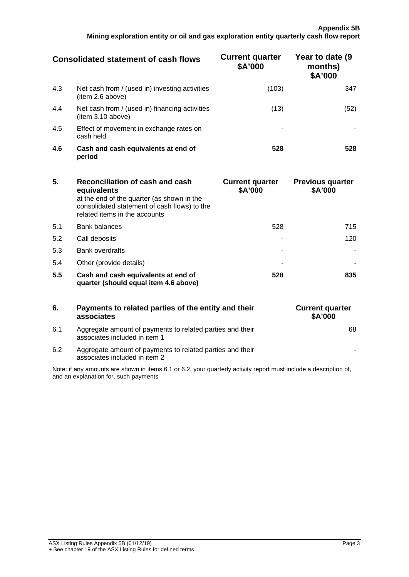| Consolidated statement of cash flows |                                                                     | <b>Current quarter</b><br>\$A'000 | Year to date (9)<br>months)<br>\$A'000 |
|--------------------------------------|---------------------------------------------------------------------|-----------------------------------|----------------------------------------|
| 4.3                                  | Net cash from / (used in) investing activities<br>(item 2.6 above)  | (103)                             | 347                                    |
| 4.4                                  | Net cash from / (used in) financing activities<br>(item 3.10 above) | (13)                              | (52)                                   |
| 4.5                                  | Effect of movement in exchange rates on<br>cash held                |                                   |                                        |
| 4.6                                  | Cash and cash equivalents at end of<br>period                       | 528                               | 528                                    |

| 5.  | Reconciliation of cash and cash<br>equivalents<br>at the end of the quarter (as shown in the<br>consolidated statement of cash flows) to the<br>related items in the accounts | <b>Current quarter</b><br>\$A'000 | <b>Previous quarter</b><br>\$A'000 |
|-----|-------------------------------------------------------------------------------------------------------------------------------------------------------------------------------|-----------------------------------|------------------------------------|
| 5.1 | <b>Bank balances</b>                                                                                                                                                          | 528                               | 715                                |
| 5.2 | Call deposits                                                                                                                                                                 |                                   | 120                                |
| 5.3 | Bank overdrafts                                                                                                                                                               |                                   |                                    |
| 5.4 | Other (provide details)                                                                                                                                                       |                                   |                                    |
| 5.5 | Cash and cash equivalents at end of<br>quarter (should equal item 4.6 above)                                                                                                  | 528                               | 835                                |

### **6. Payments to related parties of the entity and their associates** 6.1 Aggregate amount of payments to related parties and their

| <b>Current quarter</b><br>\$A'000 |
|-----------------------------------|
| 68                                |
|                                   |

ł

associates included in item 1 6.2 Aggregate amount of payments to related parties and their associates included in item 2

Note: if any amounts are shown in items 6.1 or 6.2, your quarterly activity report must include a description of, and an explanation for, such payments

đ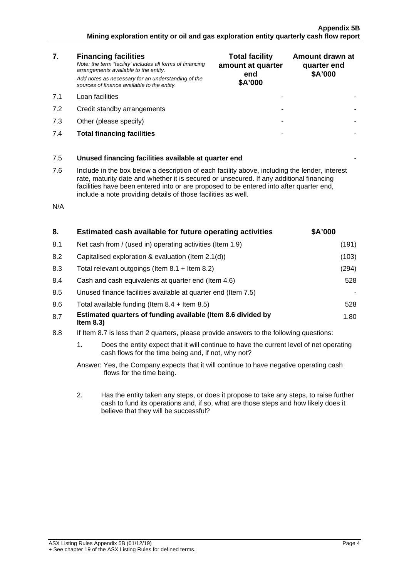#### **Appendix 5B Mining exploration entity or oil and gas exploration entity quarterly cash flow report**

| 7.  | <b>Financing facilities</b><br>Note: the term "facility' includes all forms of financing<br>arrangements available to the entity.<br>Add notes as necessary for an understanding of the<br>sources of finance available to the entity.                                                                                                               | <b>Total facility</b><br>amount at quarter<br>end<br>\$A'000 | Amount drawn at<br>quarter end<br>\$A'000 |
|-----|------------------------------------------------------------------------------------------------------------------------------------------------------------------------------------------------------------------------------------------------------------------------------------------------------------------------------------------------------|--------------------------------------------------------------|-------------------------------------------|
| 7.1 | Loan facilities                                                                                                                                                                                                                                                                                                                                      |                                                              |                                           |
| 7.2 | Credit standby arrangements                                                                                                                                                                                                                                                                                                                          |                                                              |                                           |
| 7.3 | Other (please specify)                                                                                                                                                                                                                                                                                                                               |                                                              |                                           |
| 7.4 | <b>Total financing facilities</b>                                                                                                                                                                                                                                                                                                                    |                                                              |                                           |
|     |                                                                                                                                                                                                                                                                                                                                                      |                                                              |                                           |
| 7.5 | Unused financing facilities available at quarter end                                                                                                                                                                                                                                                                                                 |                                                              |                                           |
| 7.6 | Include in the box below a description of each facility above, including the lender, interest<br>rate, maturity date and whether it is secured or unsecured. If any additional financing<br>facilities have been entered into or are proposed to be entered into after quarter end,<br>include a note providing details of those facilities as well. |                                                              |                                           |
| N/A |                                                                                                                                                                                                                                                                                                                                                      |                                                              |                                           |

| 8.  | Estimated cash available for future operating activities                   | <b>\$A'000</b>     |
|-----|----------------------------------------------------------------------------|--------------------|
| 8.1 | Net cash from / (used in) operating activities (Item 1.9)                  | (191)              |
| 8.2 | Capitalised exploration & evaluation (Item 2.1(d))                         | (103)              |
| 8.3 | Total relevant outgoings (Item $8.1 +$ Item $8.2$ )                        | $\left[294\right]$ |
| 8.4 | Cash and cash equivalents at quarter end (Item 4.6)                        | 528                |
| 8.5 | Unused finance facilities available at quarter end (Item 7.5)              |                    |
| 8.6 | Total available funding (Item $8.4$ + Item $8.5$ )                         | 528                |
| 8.7 | Estimated quarters of funding available (Item 8.6 divided by<br>Item $8.3$ | 1.80               |

- 8.8 If Item 8.7 is less than 2 quarters, please provide answers to the following questions:
	- 1. Does the entity expect that it will continue to have the current level of net operating cash flows for the time being and, if not, why not?

Answer: Yes, the Company expects that it will continue to have negative operating cash flows for the time being.

2. Has the entity taken any steps, or does it propose to take any steps, to raise further cash to fund its operations and, if so, what are those steps and how likely does it believe that they will be successful?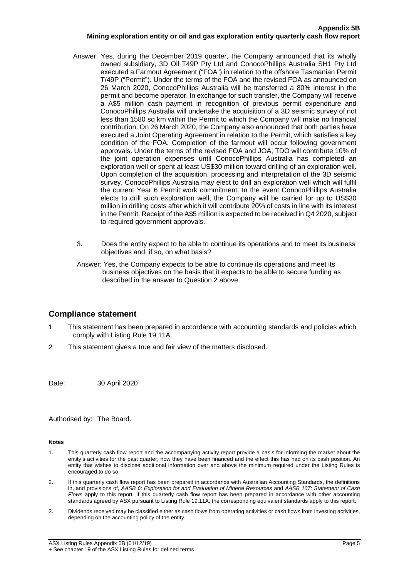- Answer: Yes, during the December 2019 quarter, the Company announced that its wholly owned subsidiary, 3D Oil T49P Pty Ltd and ConocoPhillips Australia SH1 Pty Ltd executed a Farmout Agreement ("FOA") in relation to the offshore Tasmanian Permit T/49P ("Permit"). Under the terms of the FOA and the revised FOA as announced on 26 March 2020, ConocoPhillips Australia will be transferred a 80% interest in the permit and become operator. In exchange for such transfer, the Company will receive a A\$5 million cash payment in recognition of previous permit expenditure and ConocoPhillips Australia will undertake the acquisition of a 3D seismic survey of not less than 1580 sq km within the Permit to which the Company will make no financial contribution. On 26 March 2020, the Company also announced that both parties have executed a Joint Operating Agreement in relation to the Permit, which satisfies a key condition of the FOA. Completion of the farmout will occur following government approvals. Under the terms of the revised FOA and JOA, TDO will contribute 10% of the joint operation expenses until ConocoPhillips Australia has completed an exploration well or spent at least US\$30 million toward drilling of an exploration well. Upon completion of the acquisition, processing and interpretation of the 3D seismic survey, ConocoPhillips Australia may elect to drill an exploration well which will fulfil the current Year 6 Permit work commitment. In the event ConocoPhillips Australia elects to drill such exploration well, the Company will be carried for up to US\$30 million in drilling costs after which it will contribute 20% of costs in line with its interest in the Permit. Receipt of the A\$5 million is expected to be received in Q4 2020, subject to required government approvals.
- 3. Does the entity expect to be able to continue its operations and to meet its business objectives and, if so, on what basis?

Answer: Yes, the Company expects to be able to continue its operations and meet its business objectives on the basis that it expects to be able to secure funding as described in the answer to Question 2 above.

#### **Compliance statement**

- 1 This statement has been prepared in accordance with accounting standards and policies which comply with Listing Rule 19.11A.
- 2 This statement gives a true and fair view of the matters disclosed.

Date: 30 April 2020

Authorised by: The Board.

#### **Notes**

- 1. This quarterly cash flow report and the accompanying activity report provide a basis for informing the market about the entity's activities for the past quarter, how they have been financed and the effect this has had on its cash position. An entity that wishes to disclose additional information over and above the minimum required under the Listing Rules is encouraged to do so.
- 2. If this quarterly cash flow report has been prepared in accordance with Australian Accounting Standards, the definitions in, and provisions of, *AASB 6: Exploration for and Evaluation of Mineral Resources* and *AASB 107: Statement of Cash Flows* apply to this report. If this quarterly cash flow report has been prepared in accordance with other accounting standards agreed by ASX pursuant to Listing Rule 19.11A, the corresponding equivalent standards apply to this report.
- 3. Dividends received may be classified either as cash flows from operating activities or cash flows from investing activities, depending on the accounting policy of the entity.